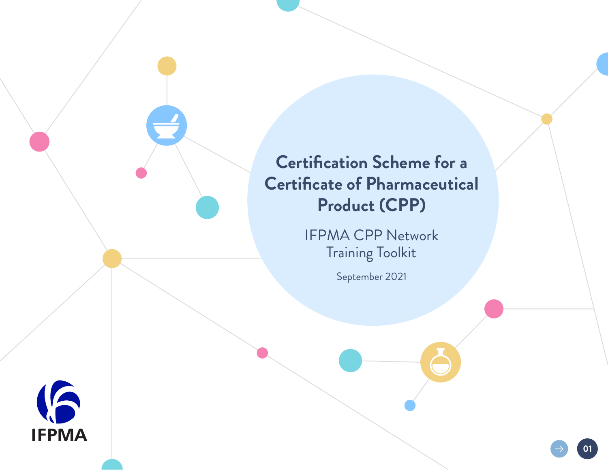# **Certification Scheme for a Certificate of Pharmaceutical Product (CPP)**

IFPMA CPP Network Training Toolkit

September 2021

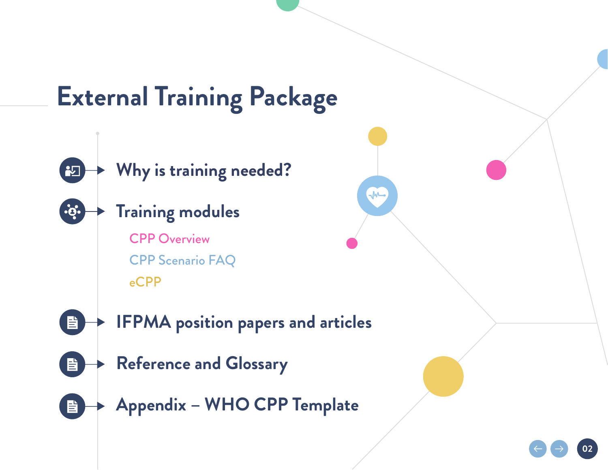# **External Training Package**

**M** 



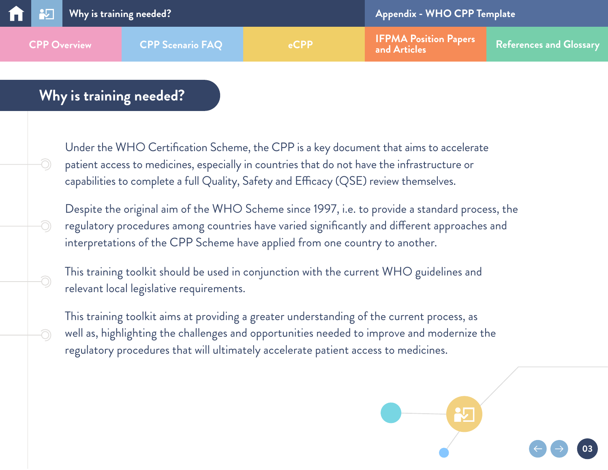## <span id="page-2-0"></span>**Why is training needed?**

-O)

-O

-0)

Under the WHO Certification Scheme, the CPP is a key document that aims to accelerate patient access to medicines, especially in countries that do not have the infrastructure or capabilities to complete a full Quality, Safety and Efficacy (QSE) review themselves.

Despite the original aim of the WHO Scheme since 1997, i.e. to provide a standard process, the regulatory procedures among countries have varied significantly and different approaches and interpretations of the CPP Scheme have applied from one country to another.

This training toolkit should be used in conjunction with the current WHO guidelines and relevant local legislative requirements.

**03** well as, highlighting the challenges and opportunities needed to improve and modernize the This training toolkit aims at providing a greater understanding of the current process, as regulatory procedures that will ultimately accelerate patient access to medicines.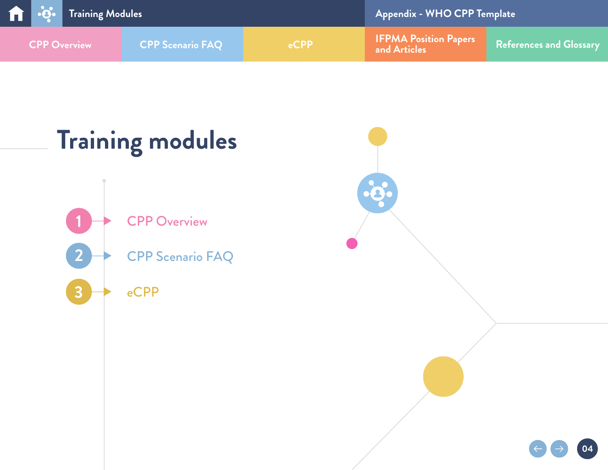<span id="page-3-0"></span>

| <b>The Review of Section</b> Training Modules |                         |            | <b>Appendix - WHO CPP Template</b>           |                                |  |
|-----------------------------------------------|-------------------------|------------|----------------------------------------------|--------------------------------|--|
| <b>CPP Overview</b>                           | <b>CPP Scenario FAQ</b> | <b>CPP</b> | <b>IFPMA Position Papers</b><br>and Articles | <b>References and Glossary</b> |  |

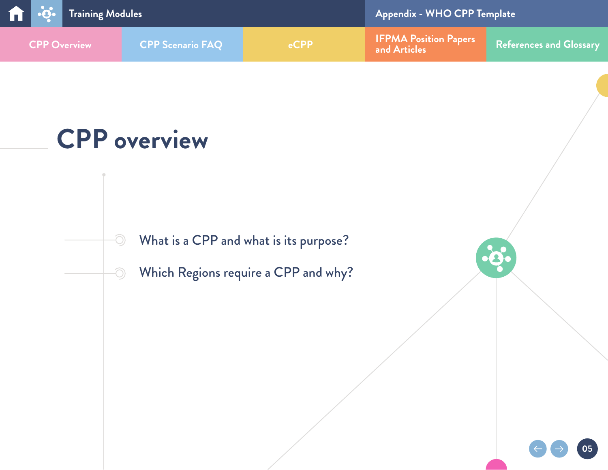<span id="page-4-0"></span>

# **CPP overview**

 $\odot$ 

 $\bigcirc$ 

[What is a CPP and what is its purpose?](#page-5-0)

[Which Regions require a CPP and why?](#page-10-0)

က်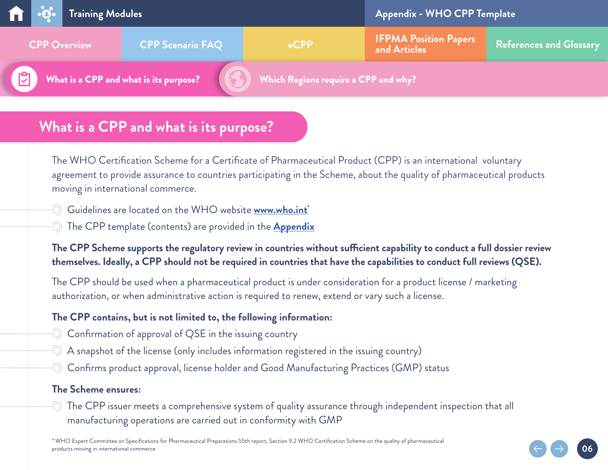<span id="page-5-0"></span>

|                                                          |                                                | <b>The Fig.</b> Training Modules |         |                                                                                                    | Appendix - WHO CPP Template |  |  |
|----------------------------------------------------------|------------------------------------------------|----------------------------------|---------|----------------------------------------------------------------------------------------------------|-----------------------------|--|--|
|                                                          | <b>CPP Scenario FAQ</b><br><b>CPP Overview</b> |                                  | $e$ CPP | <b>IFPMA Position Papers</b><br>and Articles<br>References and Glossary                            |                             |  |  |
| $\mathbb{R}^7$<br>What is a CPP and what is its purpose? |                                                |                                  |         | $\left(\left(\begin{matrix} 1 & 1 \end{matrix}\right)\right)$ Which Regions require a CPP and why? |                             |  |  |

## **What is a CPP and what is its purpose?**

The WHO Certification Scheme for a Certificate of Pharmaceutical Product (CPP) is an international voluntary agreement to provide assurance to countries participating in the Scheme, about the quality of pharmaceutical products moving in international commerce.

- Guidelines are located on the WHO website **[www.who.int\\*](http://www.who.int)**
- The CPP template (contents) are provided in the **[Appendix](#page-27-0)**

#### **The CPP Scheme supports the regulatory review in countries without sufficient capability to conduct a full dossier review themselves. Ideally, a CPP should not be required in countries that have the capabilities to conduct full reviews (QSE).**

The CPP should be used when a pharmaceutical product is under consideration for a product license / marketing authorization, or when administrative action is required to renew, extend or vary such a license.

#### **The CPP contains, but is not limited to, the following information:**

- Confirmation of approval of QSE in the issuing country
- A snapshot of the license (only includes information registered in the issuing country)
- Confirms product approval, license holder and Good Manufacturing Practices (GMP) status

#### **The Scheme ensures:**

 $\circledcirc$  The CPP issuer meets a comprehensive system of quality assurance through independent inspection that all manufacturing operations are carried out in conformity with GMP

**06**

\* WHO Expert Committee on Specifications for Pharmaceutical Preparations 55th report, Section 9.2 WHO Certification Scheme on the quality of pharmaceutical products moving in international commerce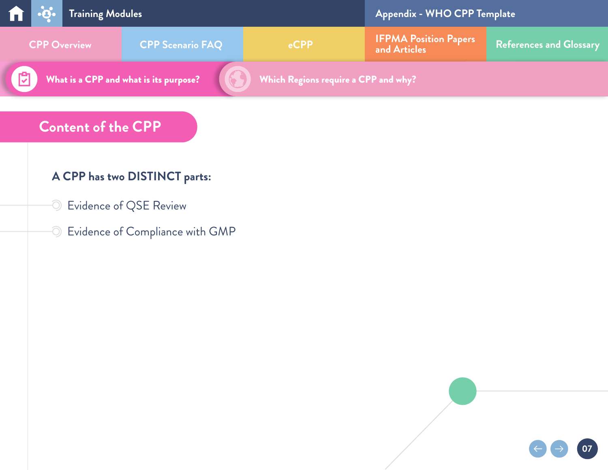<span id="page-6-0"></span>

## **Content of the CPP**

## **A CPP has two DISTINCT parts:**

- Evidence of QSE Review
- $\odot$  Evidence of Compliance with GMP

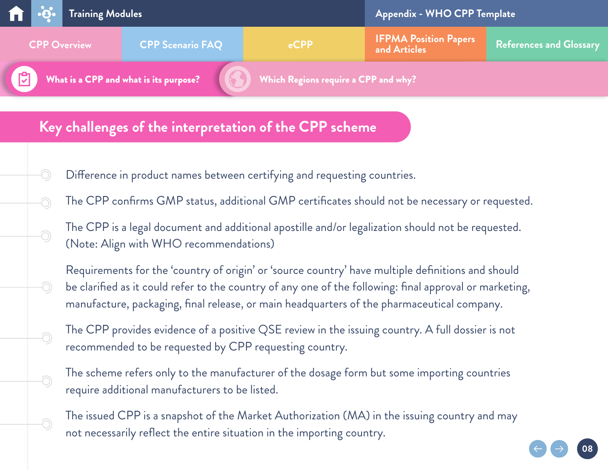

## **Key challenges of the interpretation of the CPP scheme**

 $\bigcirc$ 

-O

-O

-O

Ō,

-O

-0

- Difference in product names between certifying and requesting countries.
- The CPP confirms GMP status, additional GMP certificates should not be necessary or requested.
- The CPP is a legal document and additional apostille and/or legalization should not be requested. (Note: Align with WHO recommendations)
- Requirements for the 'country of origin' or 'source country' have multiple definitions and should be clarified as it could refer to the country of any one of the following: final approval or marketing, manufacture, packaging, final release, or main headquarters of the pharmaceutical company.
- The CPP provides evidence of a positive QSE review in the issuing country. A full dossier is not recommended to be requested by CPP requesting country.
- The scheme refers only to the manufacturer of the dosage form but some importing countries require additional manufacturers to be listed.
- The issued CPP is a snapshot of the Market Authorization (MA) in the issuing country and may not necessarily reflect the entire situation in the importing country.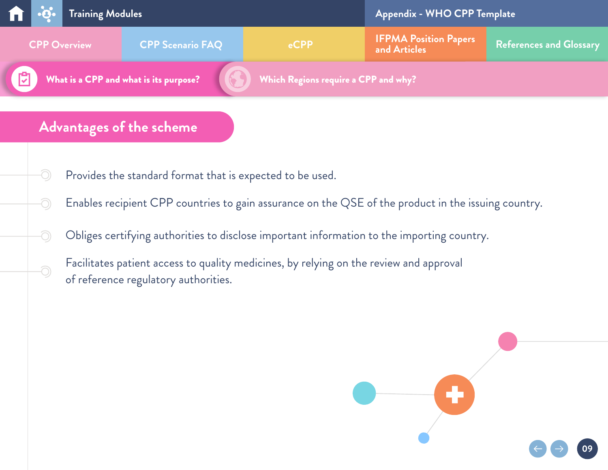|                                                | <b>The Property of School</b> Training Modules |                                      |                                              | <b>Appendix - WHO CPP Template</b> |  |  |
|------------------------------------------------|------------------------------------------------|--------------------------------------|----------------------------------------------|------------------------------------|--|--|
| <b>CPP Scenario FAQ</b><br><b>CPP Overview</b> |                                                | $e$ CPP                              | <b>IFPMA Position Papers</b><br>and Articles | References and Glossary            |  |  |
| What is a CPP and what is its purpose?         |                                                | Which Regions require a CPP and why? |                                              |                                    |  |  |

## **Advantages of the scheme**

O

-O

Ō,

-0

- Provides the standard format that is expected to be used.
- Enables recipient CPP countries to gain assurance on the QSE of the product in the issuing country.
- Obliges certifying authorities to disclose important information to the importing country.
- Facilitates patient access to quality medicines, by relying on the review and approval of reference regulatory authorities.

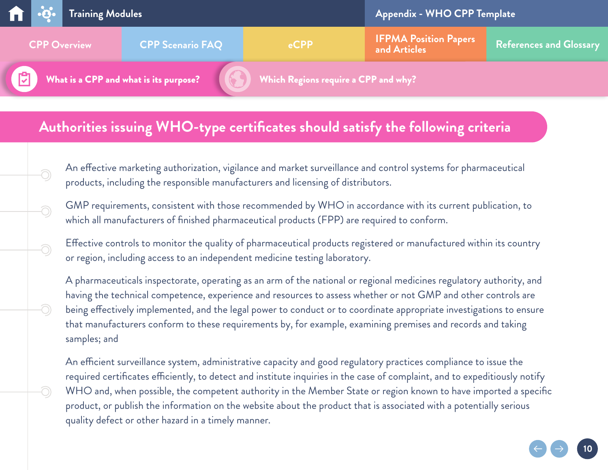|   |                                                | <b>The Project of School</b> Training Modules |                                        |                                              | Appendix - WHO CPP Template |  |  |
|---|------------------------------------------------|-----------------------------------------------|----------------------------------------|----------------------------------------------|-----------------------------|--|--|
|   | <b>CPP Scenario FAQ</b><br><b>CPP Overview</b> |                                               | $e$ CPP                                | <b>IFPMA Position Papers</b><br>and Articles | References and Glossary     |  |  |
| 内 |                                                |                                               | What is a CPP and what is its purpose? | Which Regions require a CPP and why?         |                             |  |  |

## **Authorities issuing WHO-type certificates should satisfy the following criteria**

Ō,

Ō,

O)

O.

An effective marketing authorization, vigilance and market surveillance and control systems for pharmaceutical products, including the responsible manufacturers and licensing of distributors.

GMP requirements, consistent with those recommended by WHO in accordance with its current publication, to which all manufacturers of finished pharmaceutical products (FPP) are required to conform.

Effective controls to monitor the quality of pharmaceutical products registered or manufactured within its country or region, including access to an independent medicine testing laboratory.

A pharmaceuticals inspectorate, operating as an arm of the national or regional medicines regulatory authority, and having the technical competence, experience and resources to assess whether or not GMP and other controls are being effectively implemented, and the legal power to conduct or to coordinate appropriate investigations to ensure that manufacturers conform to these requirements by, for example, examining premises and records and taking samples; and

An efficient surveillance system, administrative capacity and good regulatory practices compliance to issue the required certificates efficiently, to detect and institute inquiries in the case of complaint, and to expeditiously notify WHO and, when possible, the competent authority in the Member State or region known to have imported a specific product, or publish the information on the website about the product that is associated with a potentially serious quality defect or other hazard in a timely manner.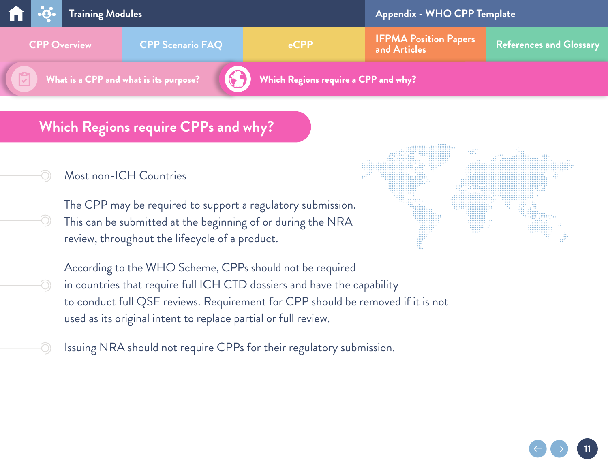<span id="page-10-0"></span>

## **Which Regions require CPPs and why?**

#### Most non-ICH Countries

-O)

-O

The CPP may be required to support a regulatory submission. This can be submitted at the beginning of or during the NRA review, throughout the lifecycle of a product.



**11**

According to the WHO Scheme, CPPs should not be required in countries that require full ICH CTD dossiers and have the capability to conduct full QSE reviews. Requirement for CPP should be removed if it is not used as its original intent to replace partial or full review.

Issuing NRA should not require CPPs for their regulatory submission.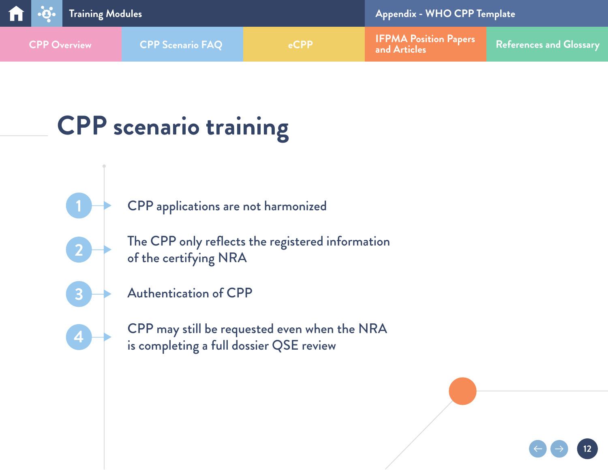<span id="page-11-0"></span>

| <b>The Review of Serving Modules</b> |                         |         | <b>Appendix - WHO CPP Template</b>           |                         |  |
|--------------------------------------|-------------------------|---------|----------------------------------------------|-------------------------|--|
| <b>CPP Overview</b>                  | <b>CPP Scenario FAQ</b> | $e$ CPP | <b>IFPMA Position Papers</b><br>and Articles | References and Glossary |  |

# **CPP scenario training**

[CPP applications are not harmonized](#page-12-0)

The [CPP only reflects the registered information](#page-15-0)  [of the certifying](#page-15-0) NRA



**[4](#page-18-0)**

**[1](#page-12-0)**

**[2](#page-15-0)**

[Authentication of CPP](#page-17-0)

[CPP](#page-18-0) may still be requested even when the NRA is completing a full dossier QSE review

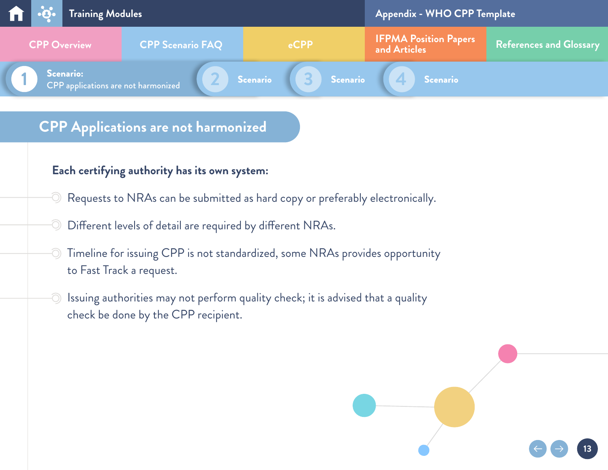<span id="page-12-0"></span>

#### **Each certifying authority has its own system:**

- Requests to NRAs can be submitted as hard copy or preferably electronically.
- Different levels of detail are required by different NRAs.  $\bigcirc$
- Timeline for issuing CPP is not standardized, some NRAs provides opportunity to Fast Track a request.
- -O Issuing authorities may not perform quality check; it is advised that a quality check be done by the CPP recipient.

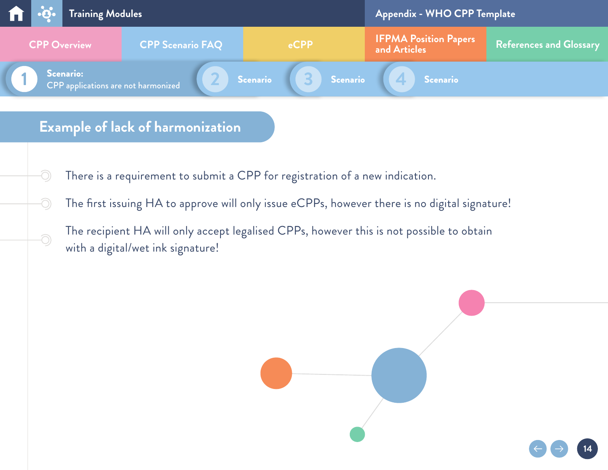

There is a requirement to submit a CPP for registration of a new indication.

-O

-O

<u> O</u>

- The first issuing HA to approve will only issue eCPPs, however there is no digital signature!
	- The recipient HA will only accept legalised CPPs, however this is not possible to obtain with a digital/wet ink signature!

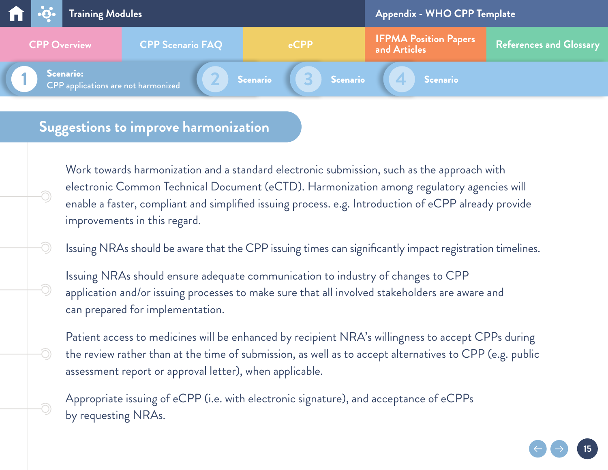| $\mathbf{u}$ $\mathbf{v}$ | Training Modules                                        |                        | <b>Appendix - WHO CPP Template</b> |                                              |                                                  |
|---------------------------|---------------------------------------------------------|------------------------|------------------------------------|----------------------------------------------|--------------------------------------------------|
| <b>CPP Overview</b>       | <b>CPP Scenario FAQ</b>                                 |                        | eCPP                               | <b>IFPMA Position Papers</b><br>and Articles | $\overline{\phantom{a}}$ References and Glossary |
|                           | <b>Scenario:</b><br>CPP applications are not harmonized | Scenario<br>$\sqrt{2}$ | Scenario                           | <b>Scenario</b>                              |                                                  |

## **Suggestions to improve harmonization**

-O

-O

O)

Work towards harmonization and a standard electronic submission, such as the approach with electronic Common Technical Document (eCTD). Harmonization among regulatory agencies will enable a faster, compliant and simplified issuing process. e.g. Introduction of eCPP already provide improvements in this regard.

Issuing NRAs should be aware that the CPP issuing times can significantly impact registration timelines.

Issuing NRAs should ensure adequate communication to industry of changes to CPP application and/or issuing processes to make sure that all involved stakeholders are aware and can prepared for implementation.

Patient access to medicines will be enhanced by recipient NRA's willingness to accept CPPs during the review rather than at the time of submission, as well as to accept alternatives to CPP (e.g. public assessment report or approval letter), when applicable.

Appropriate issuing of eCPP (i.e. with electronic signature), and acceptance of eCPPs by requesting NRAs.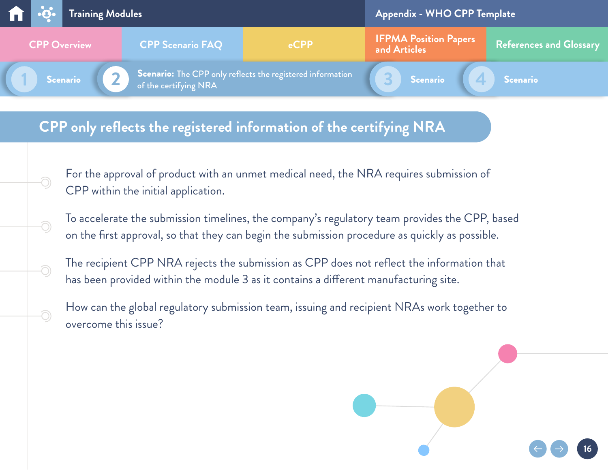<span id="page-15-0"></span>

## **CPP only reflects the registered information of the certifying NRA**

-O

-O

-0

For the approval of product with an unmet medical need, the NRA requires submission of CPP within the initial application.

To accelerate the submission timelines, the company's regulatory team provides the CPP, based on the first approval, so that they can begin the submission procedure as quickly as possible.

The recipient CPP NRA rejects the submission as CPP does not reflect the information that has been provided within the module 3 as it contains a different manufacturing site.

How can the global regulatory submission team, issuing and recipient NRAs work together to overcome this issue?

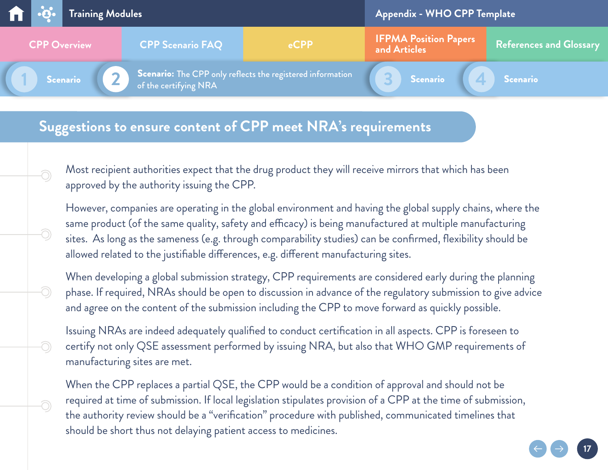

## **Suggestions to ensure content of CPP meet NRA's requirements**

-O

-O

<u>ි</u>

-0

O

Most recipient authorities expect that the drug product they will receive mirrors that which has been approved by the authority issuing the CPP.

However, companies are operating in the global environment and having the global supply chains, where the same product (of the same quality, safety and efficacy) is being manufactured at multiple manufacturing sites. As long as the sameness (e.g. through comparability studies) can be confirmed, flexibility should be allowed related to the justifiable differences, e.g. different manufacturing sites.

When developing a global submission strategy, CPP requirements are considered early during the planning phase. If required, NRAs should be open to discussion in advance of the regulatory submission to give advice and agree on the content of the submission including the CPP to move forward as quickly possible.

Issuing NRAs are indeed adequately qualified to conduct certification in all aspects. CPP is foreseen to certify not only QSE assessment performed by issuing NRA, but also that WHO GMP requirements of manufacturing sites are met.

When the CPP replaces a partial QSE, the CPP would be a condition of approval and should not be required at time of submission. If local legislation stipulates provision of a CPP at the time of submission, the authority review should be a "verification" procedure with published, communicated timelines that should be short thus not delaying patient access to medicines.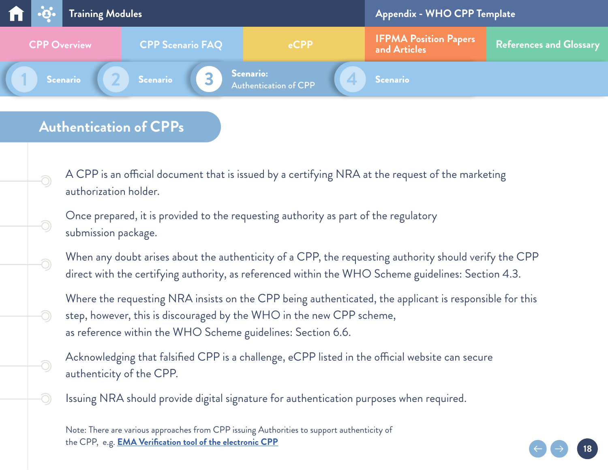<span id="page-17-0"></span>

## **Authentication of CPPs**

<u> O</u>

-O

 $\widehat{\bigcirc}$ 

O)

-O

A CPP is an official document that is issued by a certifying NRA at the request of the marketing authorization holder.

Once prepared, it is provided to the requesting authority as part of the regulatory submission package.

When any doubt arises about the authenticity of a CPP, the requesting authority should verify the CPP direct with the certifying authority, as referenced within the WHO Scheme guidelines: Section 4.3.

Where the requesting NRA insists on the CPP being authenticated, the applicant is responsible for this step, however, this is discouraged by the WHO in the new CPP scheme, as reference within the WHO Scheme guidelines: Section 6.6.

**18**

Acknowledging that falsified CPP is a challenge, eCPP listed in the official website can secure authenticity of the CPP.

Issuing NRA should provide digital signature for authentication purposes when required.

Note: There are various approaches from CPP issuing Authorities to support authenticity of the CPP, e.g. **[EMA Verification tool of the electronic CPP](https://www.ema.europa.eu/en/human-regulatory/post-authorisation/certifying-medicinal-products/authenticity-verification-electronic-certificates)**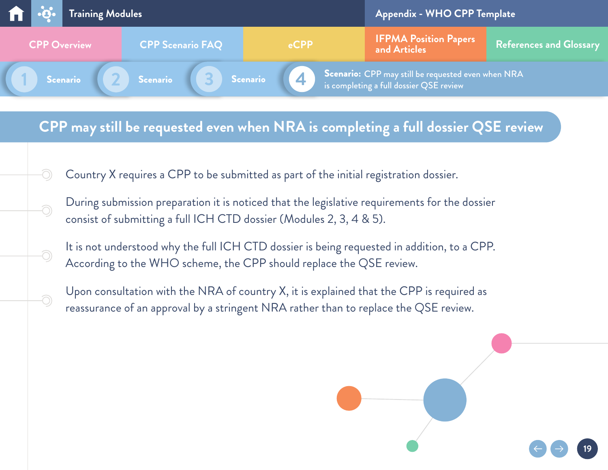<span id="page-18-0"></span>

### **CPP may still be requested even when NRA is completing a full dossier QSE review**

Country X requires a CPP to be submitted as part of the initial registration dossier.

-O

-O

-0

- During submission preparation it is noticed that the legislative requirements for the dossier consist of submitting a full ICH CTD dossier (Modules 2, 3, 4 & 5).
- It is not understood why the full ICH CTD dossier is being requested in addition, to a CPP. According to the WHO scheme, the CPP should replace the QSE review.
- Upon consultation with the NRA of country X, it is explained that the CPP is required as reassurance of an approval by a stringent NRA rather than to replace the QSE review.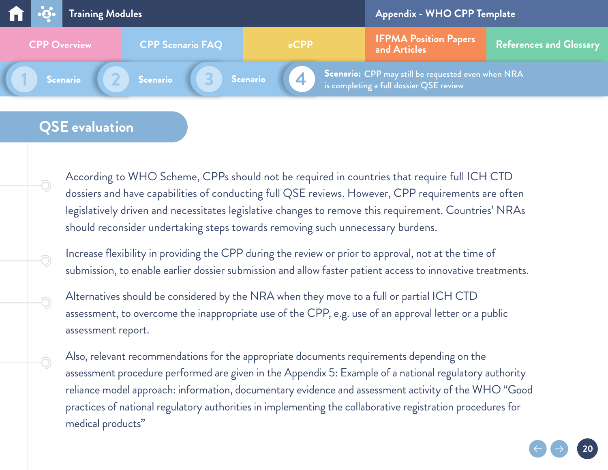

## **QSE evaluation**

-O

-O

-0

Ō,

According to WHO Scheme, CPPs should not be required in countries that require full ICH CTD dossiers and have capabilities of conducting full QSE reviews. However, CPP requirements are often legislatively driven and necessitates legislative changes to remove this requirement. Countries' NRAs should reconsider undertaking steps towards removing such unnecessary burdens.

Increase flexibility in providing the CPP during the review or prior to approval, not at the time of submission, to enable earlier dossier submission and allow faster patient access to innovative treatments.

Alternatives should be considered by the NRA when they move to a full or partial ICH CTD assessment, to overcome the inappropriate use of the CPP, e.g. use of an approval letter or a public assessment report.

Also, relevant recommendations for the appropriate documents requirements depending on the assessment procedure performed are given in the Appendix 5: Example of a national regulatory authority reliance model approach: information, documentary evidence and assessment activity of the WHO "Good practices of national regulatory authorities in implementing the collaborative registration procedures for medical products"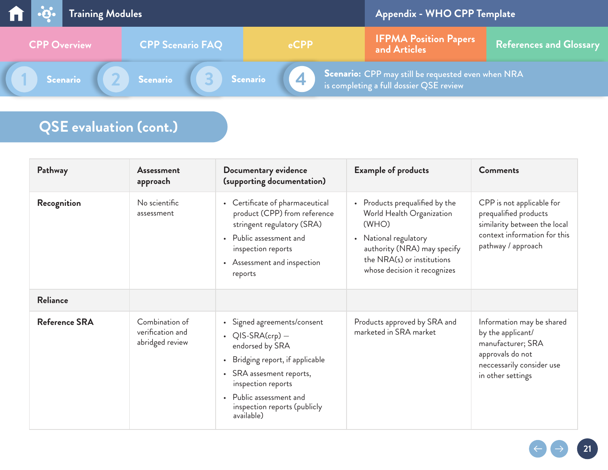|                     | <b>The Review of Section</b> Training Modules |                         |          | Appendix - WHO CPP Template                                                                                                      |                         |
|---------------------|-----------------------------------------------|-------------------------|----------|----------------------------------------------------------------------------------------------------------------------------------|-------------------------|
| <b>CPP Overview</b> |                                               | <b>CPP Scenario FAQ</b> | $e$ CPP  | <b>IFPMA Position Papers</b><br>and Articles                                                                                     | References and Glossary |
| Scenario            |                                               | Scenario                | Scenario | $\overline{\phantom{a}}$ Scenario: CPP may still be requested even when NRA $^\prime$<br>is completing a full dossier QSE review |                         |

# **QSE evaluation (cont.)**

| Pathway              | Assessment<br>approach                                | Documentary evidence<br>(supporting documentation)                                                                                                                                                                              | <b>Example of products</b>                                                                                                                                                                 | <b>Comments</b>                                                                                                                           |
|----------------------|-------------------------------------------------------|---------------------------------------------------------------------------------------------------------------------------------------------------------------------------------------------------------------------------------|--------------------------------------------------------------------------------------------------------------------------------------------------------------------------------------------|-------------------------------------------------------------------------------------------------------------------------------------------|
| Recognition          | No scientific<br>assessment                           | • Certificate of pharmaceutical<br>product (CPP) from reference<br>stringent regulatory (SRA)<br>• Public assessment and<br>inspection reports<br>• Assessment and inspection<br>reports                                        | • Products prequalified by the<br>World Health Organization<br>(WHO)<br>• National regulatory<br>authority (NRA) may specify<br>the NRA(s) or institutions<br>whose decision it recognizes | CPP is not applicable for<br>prequalified products<br>similarity between the local<br>context information for this<br>pathway / approach  |
| <b>Reliance</b>      |                                                       |                                                                                                                                                                                                                                 |                                                                                                                                                                                            |                                                                                                                                           |
| <b>Reference SRA</b> | Combination of<br>verification and<br>abridged review | • Signed agreements/consent<br>• $QIS-SRA(crp)$ –<br>endorsed by SRA<br>Bridging report, if applicable<br>• SRA assesment reports,<br>inspection reports<br>Public assessment and<br>inspection reports (publicly<br>available) | Products approved by SRA and<br>marketed in SRA market                                                                                                                                     | Information may be shared<br>by the applicant/<br>manufacturer; SRA<br>approvals do not<br>neccessarily consider use<br>in other settings |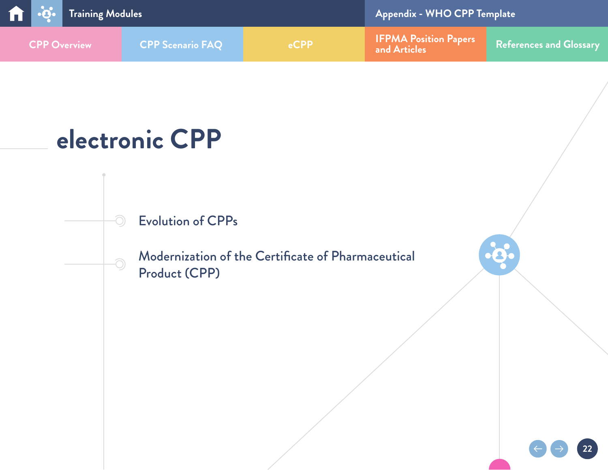<span id="page-21-0"></span>

# **electronic CPP**

<u>- 1</u>

 $\odot$ 

[Evolution of CPPs](#page-22-0)

[Modernization of the Certificate of Pharmaceutical](#page-23-0) [Product \(CPP\)](#page-23-0)

 $\bullet$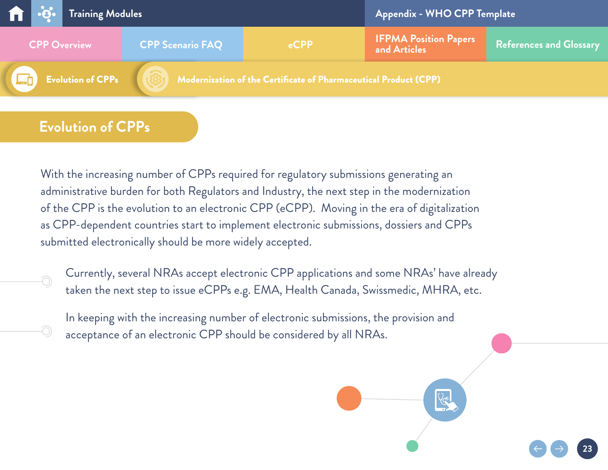<span id="page-22-0"></span>

## **Evolution of CPPs**

-0

With the increasing number of CPPs required for regulatory submissions generating an administrative burden for both Regulators and Industry, the next step in the modernization of the CPP is the evolution to an electronic CPP (eCPP). Moving in the era of digitalization as CPP-dependent countries start to implement electronic submissions, dossiers and CPPs submitted electronically should be more widely accepted.

Currently, several NRAs accept electronic CPP applications and some NRAs' have already taken the next step to issue eCPPs e.g. EMA, Health Canada, Swissmedic, MHRA, etc.

**23**

In keeping with the increasing number of electronic submissions, the provision and acceptance of an electronic CPP should be considered by all NRAs.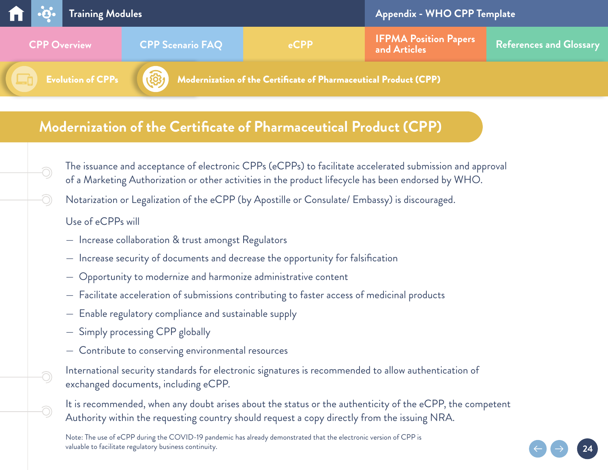<span id="page-23-0"></span>

## **Modernization of the Certificate of Pharmaceutical Product (CPP)**

- The issuance and acceptance of electronic CPPs (eCPPs) to facilitate accelerated submission and approval of a Marketing Authorization or other activities in the product lifecycle has been endorsed by WHO.
- Notarization or Legalization of the eCPP (by Apostille or Consulate/ Embassy) is discouraged.

#### Use of eCPPs will

<u> O</u>

O

 $\widehat{\bigcirc}$ 

- Increase collaboration & trust amongst Regulators
- Increase security of documents and decrease the opportunity for falsification
- Opportunity to modernize and harmonize administrative content
- Facilitate acceleration of submissions contributing to faster access of medicinal products
- Enable regulatory compliance and sustainable supply
- Simply processing CPP globally
- Contribute to conserving environmental resources
- International security standards for electronic signatures is recommended to allow authentication of exchanged documents, including eCPP.

It is recommended, when any doubt arises about the status or the authenticity of the eCPP, the competent Authority within the requesting country should request a copy directly from the issuing NRA.

**24**

Note: The use of eCPP during the COVID-19 pandemic has already demonstrated that the electronic version of CPP is valuable to facilitate regulatory business continuity.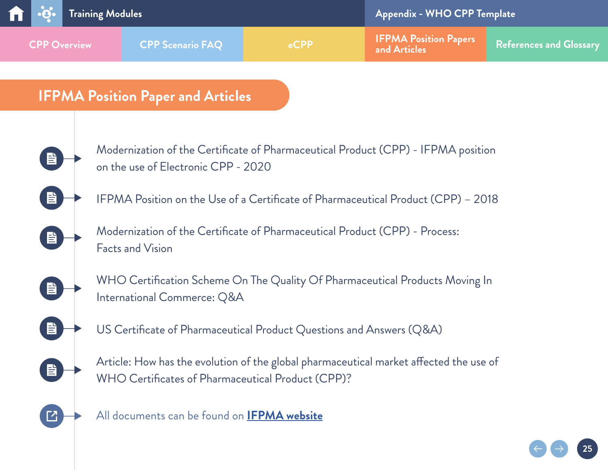<span id="page-24-0"></span>

**25**

## **IFPMA Position Paper and Articles**



 $\Box$ 

All documents can be found on **[IFPMA website](https://www.ifpma.org/resource-centre/cpp-publications/)**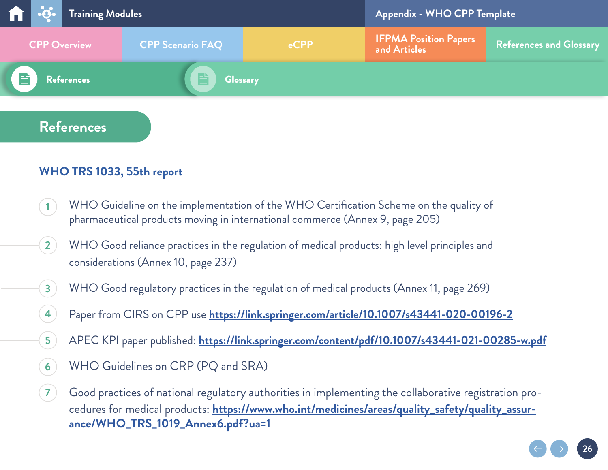<span id="page-25-0"></span>

|                     |  | <b>The Project Training Modules</b> |                         |      | Appendix - WHO CPP Template                  |                         |  |
|---------------------|--|-------------------------------------|-------------------------|------|----------------------------------------------|-------------------------|--|
| <b>CPP Overview</b> |  |                                     | <b>CPP Scenario FAQ</b> | eCPP | <b>IFPMA Position Papers</b><br>and Articles | References and Glossary |  |
| 昏                   |  | <b>References</b>                   | <b>Glossary</b>         |      |                                              |                         |  |

## **References**

**[1](#page-6-0)**

**4**

**5**

**6**

**7**

### **[WHO TRS 1033, 55th report](https://www.who.int/publications/i/item/55th-report-of-the-who-expert-committee-on-specifications-for-pharmaceutical-preparations)**

- WHO Guideline on the implementation of the WHO Certification Scheme on the quality of pharmaceutical products moving in international commerce (Annex 9, page 205)
- WHO Good reliance practices in the regulation of medical products: high level principles and considerations (Annex 10, page 237) **2**
- WHO Good regulatory practices in the regulation of medical products (Annex 11, page 269) **3**
	- Paper from CIRS on CPP use **<https://link.springer.com/article/10.1007/s43441-020-00196-2>**
	- APEC KPI paper published: **<https://link.springer.com/content/pdf/10.1007/s43441-021-00285-w.pdf>**
	- WHO Guidelines on CRP (PQ and SRA)

Good practices of national regulatory authorities in implementing the collaborative registration procedures for medical products: **[https://www.who.int/medicines/areas/quality\\_safety/quality\\_assur](https://www.who.int/medicines/areas/quality_safety/quality_assurance/WHO_TRS_1019_Annex6.pdf?ua=1)[ance/WHO\\_TRS\\_1019\\_Annex6.pdf?ua=1](https://www.who.int/medicines/areas/quality_safety/quality_assurance/WHO_TRS_1019_Annex6.pdf?ua=1)**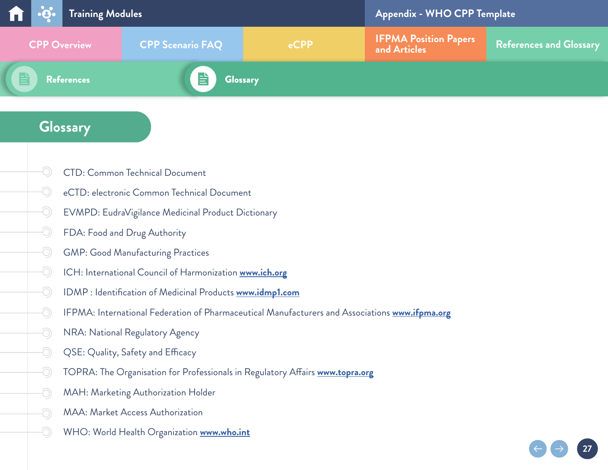<span id="page-26-0"></span>

|                     |  | <b>The Solution</b> Training Modules |                                 |  | Appendix - WHO CPP Template                  |                         |
|---------------------|--|--------------------------------------|---------------------------------|--|----------------------------------------------|-------------------------|
| <b>CPP Overview</b> |  |                                      | <b>CPP Scenario FAQ</b><br>eCPP |  | <b>IFPMA Position Papers</b><br>and Articles | References and Glossary |
|                     |  | <b>References</b>                    | <b>Glossary</b>                 |  |                                              |                         |

## **Glossary**

-O

-O

O

O

O

-O

O

Ô,

O)

O)

- O CTD: Common Technical Document
- O eCTD: electronic Common Technical Document
- O EVMPD: EudraVigilance Medicinal Product Dictionary
- -O FDA: Food and Drug Authority
	- GMP: Good Manufacturing Practices
	- ICH: International Council of Harmonization **[www.ich.org](http://www.ich.org)**
	- IDMP : Identification of Medicinal Products **[www.idmp1.com](http://www.idmp1.com)**
	- IFPMA: International Federation of Pharmaceutical Manufacturers and Associations **[www.ifpma.org](http://www.ifpma.org)**

- NRA: National Regulatory Agency
- QSE: Quality, Safety and Efficacy
- TOPRA: The Organisation for Professionals in Regulatory Affairs **[www.topra.org](http://www.topra.org)**
- MAH: Marketing Authorization Holder
- MAA: Market Access Authorization
- WHO: World Health Organization **[www.who.int](http://www.who.int)**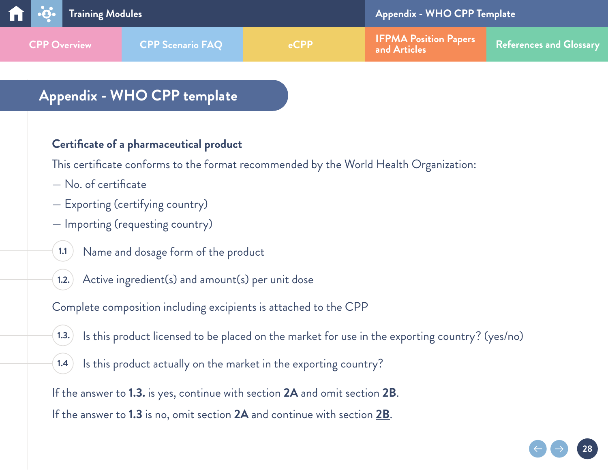<span id="page-27-0"></span>

## **Appendix - WHO CPP template**

#### **Certificate of a pharmaceutical product**

This certificate conforms to the format recommended by the World Health Organization:

- No. of certificate
- Exporting (certifying country)
- Importing (requesting country)
- Name and dosage form of the product **1.1**
- Active ingredient(s) and amount(s) per unit dose **1.2.**

Complete composition including excipients is attached to the CPP

Is this product licensed to be placed on the market for use in the exporting country? (yes/no) **1.3.**

**28**

Is this product actually on the market in the exporting country? **1.4**

If the answer to **1.3.** is yes, continue with section **[2A](#page-28-0)** and omit section **2B**. If the answer to **1.3** is no, omit section **2A** and continue with section **[2B](#page-29-0)**.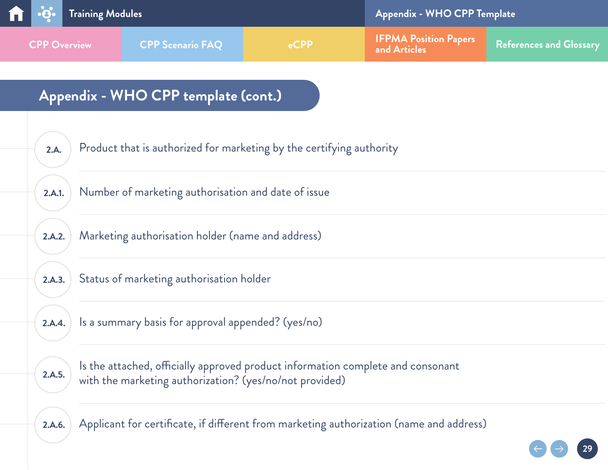<span id="page-28-0"></span>

| 2.A.   | Product that is authorized for marketing by the certifying authority                                                                       |
|--------|--------------------------------------------------------------------------------------------------------------------------------------------|
| 2.A.1. | Number of marketing authorisation and date of issue                                                                                        |
| 2.A.2. | Marketing authorisation holder (name and address)                                                                                          |
| 2.A.3. | Status of marketing authorisation holder                                                                                                   |
| 2.A.4. | Is a summary basis for approval appended? (yes/no)                                                                                         |
| 2.A.5. | Is the attached, officially approved product information complete and consonant<br>with the marketing authorization? (yes/no/not provided) |
| 2.A.6. | Applicant for certificate, if different from marketing authorization (name and address)                                                    |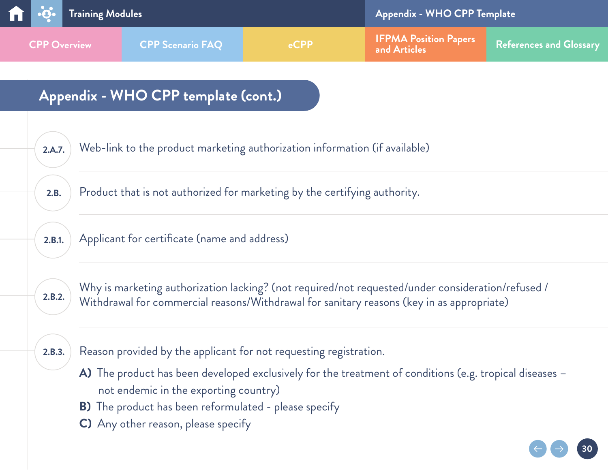<span id="page-29-0"></span>

| 2.A.7. | Web-link to the product marketing authorization information (if available)                                                                                                                                              |
|--------|-------------------------------------------------------------------------------------------------------------------------------------------------------------------------------------------------------------------------|
| 2.B.   | Product that is not authorized for marketing by the certifying authority.                                                                                                                                               |
| 2.B.1. | Applicant for certificate (name and address)                                                                                                                                                                            |
| 2.B.2. | Why is marketing authorization lacking? (not required/not requested/under consideration/refused /<br>Withdrawal for commercial reasons/Withdrawal for sanitary reasons (key in as appropriate)                          |
| 2.B.3. | Reason provided by the applicant for not requesting registration.<br>A) The product has been developed exclusively for the treatment of conditions (e.g. tropical diseases $-$<br>not endemic in the exporting country) |
|        | <b>B)</b> The product has been reformulated - please specify                                                                                                                                                            |
|        | C) Any other reason, please specify                                                                                                                                                                                     |
|        |                                                                                                                                                                                                                         |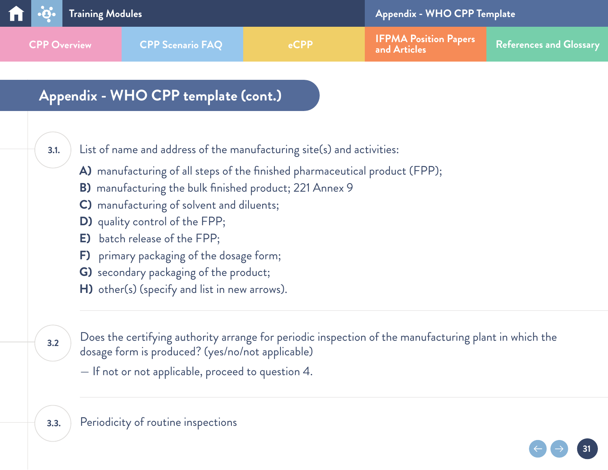

**3.1.**

List of name and address of the manufacturing site(s) and activities:

**A)** manufacturing of all steps of the finished pharmaceutical product (FPP);

- **B)** manufacturing the bulk finished product; 221 Annex 9
- **C)** manufacturing of solvent and diluents;
- **D)** quality control of the FPP;
- **E)** batch release of the FPP;
- **F)** primary packaging of the dosage form;
- **G)** secondary packaging of the product;
- **H)** other(s) (specify and list in new arrows).

**3.2**

Does the certifying authority arrange for periodic inspection of the manufacturing plant in which the dosage form is produced? (yes/no/not applicable)

**31**

— If not or not applicable, proceed to question 4.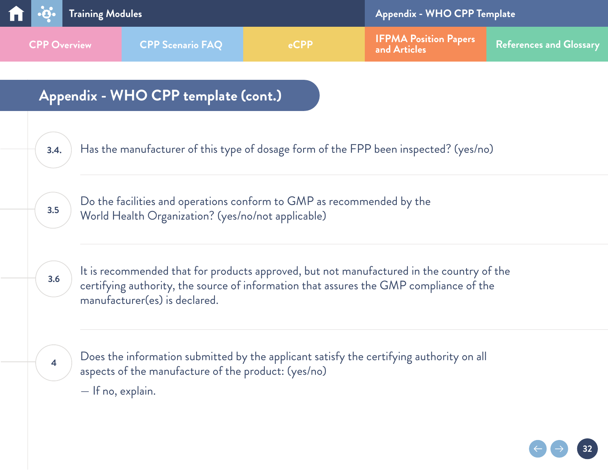

**3.4.** Has the manufacturer of this type of dosage form of the FPP been inspected? (yes/no)

Do the facilities and operations conform to GMP as recommended by the World Health Organization? (yes/no/not applicable) **3.5**

**3.6**

It is recommended that for products approved, but not manufactured in the country of the certifying authority, the source of information that assures the GMP compliance of the manufacturer(es) is declared.

**4**

Does the information submitted by the applicant satisfy the certifying authority on all aspects of the manufacture of the product: (yes/no)

— If no, explain.